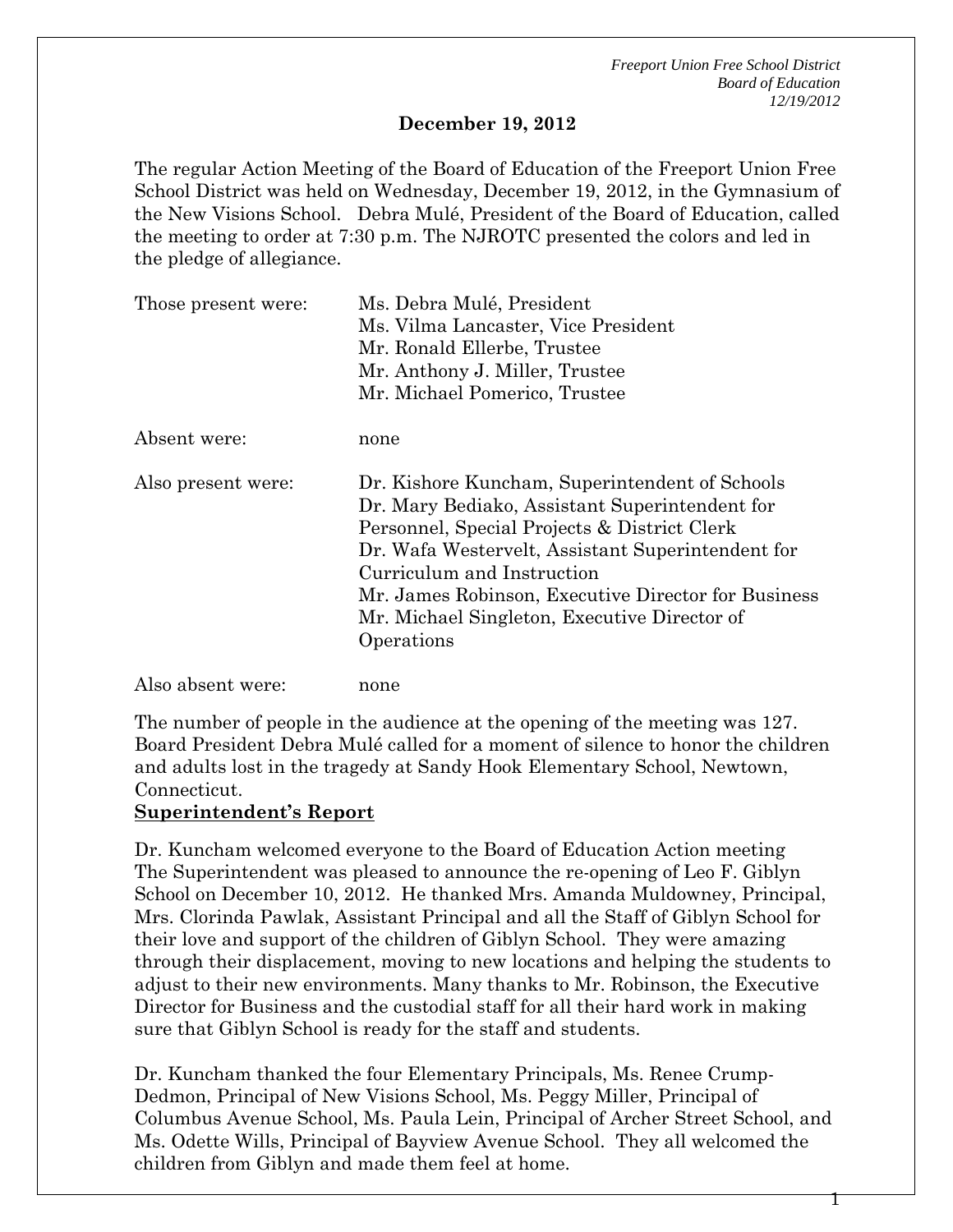### **December 19, 2012**

The regular Action Meeting of the Board of Education of the Freeport Union Free School District was held on Wednesday, December 19, 2012, in the Gymnasium of the New Visions School. Debra Mulé, President of the Board of Education, called the meeting to order at 7:30 p.m. The NJROTC presented the colors and led in the pledge of allegiance.

| Those present were: | Ms. Debra Mulé, President                                                                                                                                                                                                                                                                                                                                |  |  |  |
|---------------------|----------------------------------------------------------------------------------------------------------------------------------------------------------------------------------------------------------------------------------------------------------------------------------------------------------------------------------------------------------|--|--|--|
|                     | Ms. Vilma Lancaster, Vice President                                                                                                                                                                                                                                                                                                                      |  |  |  |
|                     | Mr. Ronald Ellerbe, Trustee                                                                                                                                                                                                                                                                                                                              |  |  |  |
|                     | Mr. Anthony J. Miller, Trustee                                                                                                                                                                                                                                                                                                                           |  |  |  |
|                     | Mr. Michael Pomerico, Trustee                                                                                                                                                                                                                                                                                                                            |  |  |  |
| Absent were:        | none                                                                                                                                                                                                                                                                                                                                                     |  |  |  |
| Also present were:  | Dr. Kishore Kuncham, Superintendent of Schools<br>Dr. Mary Bediako, Assistant Superintendent for<br>Personnel, Special Projects & District Clerk<br>Dr. Wafa Westervelt, Assistant Superintendent for<br>Curriculum and Instruction<br>Mr. James Robinson, Executive Director for Business<br>Mr. Michael Singleton, Executive Director of<br>Operations |  |  |  |
| Also absent were:   | none                                                                                                                                                                                                                                                                                                                                                     |  |  |  |

The number of people in the audience at the opening of the meeting was 127. Board President Debra Mulé called for a moment of silence to honor the children and adults lost in the tragedy at Sandy Hook Elementary School, Newtown, Connecticut.

#### **Superintendent's Report**

 $\overline{a}$ 

Dr. Kuncham welcomed everyone to the Board of Education Action meeting The Superintendent was pleased to announce the re-opening of Leo F. Giblyn School on December 10, 2012. He thanked Mrs. Amanda Muldowney, Principal, Mrs. Clorinda Pawlak, Assistant Principal and all the Staff of Giblyn School for their love and support of the children of Giblyn School. They were amazing through their displacement, moving to new locations and helping the students to adjust to their new environments. Many thanks to Mr. Robinson, the Executive Director for Business and the custodial staff for all their hard work in making sure that Giblyn School is ready for the staff and students.

Dr. Kuncham thanked the four Elementary Principals, Ms. Renee Crump-Dedmon, Principal of New Visions School, Ms. Peggy Miller, Principal of Columbus Avenue School, Ms. Paula Lein, Principal of Archer Street School, and Ms. Odette Wills, Principal of Bayview Avenue School. They all welcomed the children from Giblyn and made them feel at home.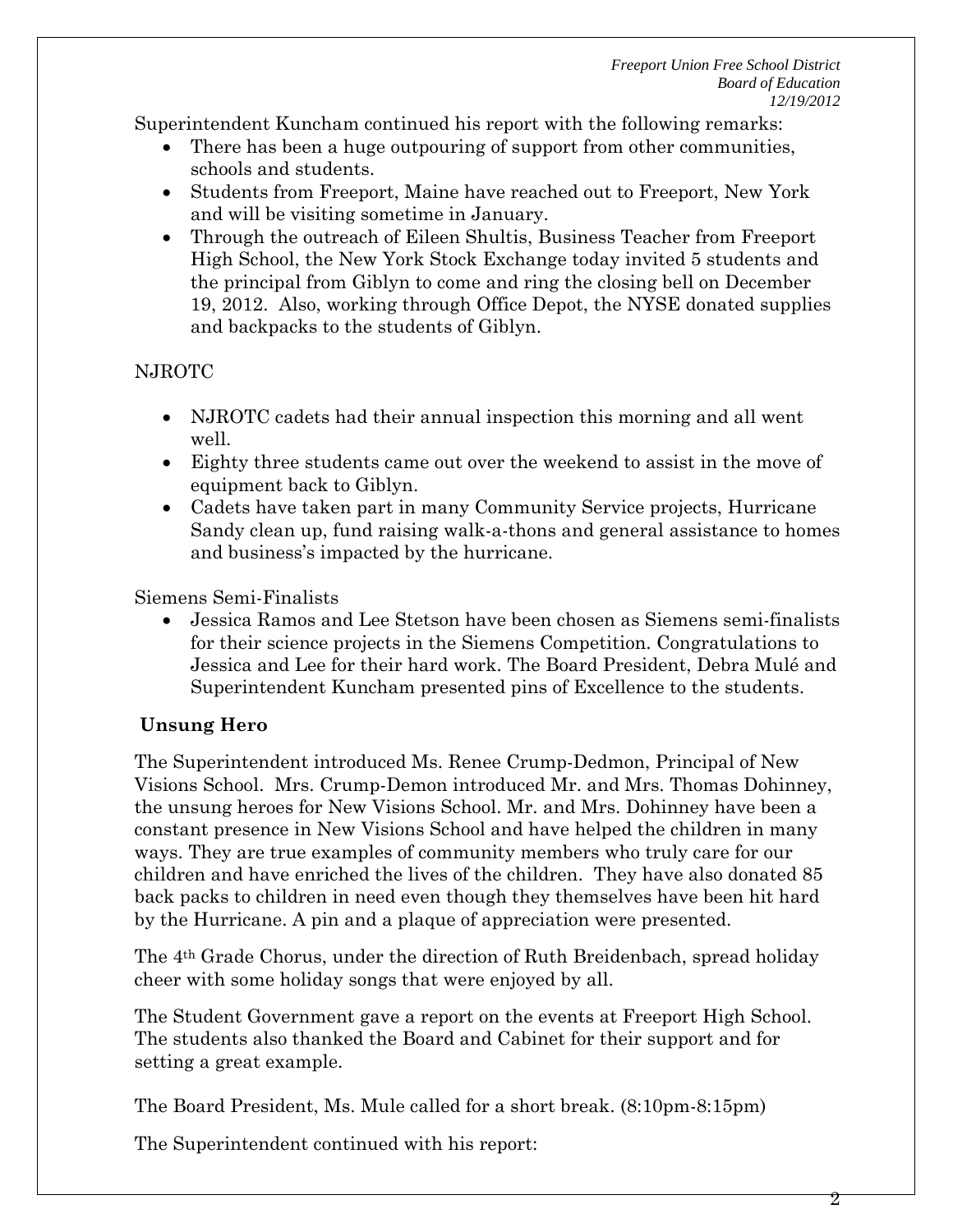Superintendent Kuncham continued his report with the following remarks:

- There has been a huge outpouring of support from other communities, schools and students.
- Students from Freeport, Maine have reached out to Freeport, New York and will be visiting sometime in January.
- Through the outreach of Eileen Shultis, Business Teacher from Freeport High School, the New York Stock Exchange today invited 5 students and the principal from Giblyn to come and ring the closing bell on December 19, 2012. Also, working through Office Depot, the NYSE donated supplies and backpacks to the students of Giblyn.

# NJROTC

- NJROTC cadets had their annual inspection this morning and all went well.
- Eighty three students came out over the weekend to assist in the move of equipment back to Giblyn.
- Cadets have taken part in many Community Service projects, Hurricane Sandy clean up, fund raising walk-a-thons and general assistance to homes and business's impacted by the hurricane.

Siemens Semi-Finalists

 Jessica Ramos and Lee Stetson have been chosen as Siemens semi-finalists for their science projects in the Siemens Competition. Congratulations to Jessica and Lee for their hard work. The Board President, Debra Mulé and Superintendent Kuncham presented pins of Excellence to the students.

# **Unsung Hero**

The Superintendent introduced Ms. Renee Crump-Dedmon, Principal of New Visions School. Mrs. Crump-Demon introduced Mr. and Mrs. Thomas Dohinney, the unsung heroes for New Visions School. Mr. and Mrs. Dohinney have been a constant presence in New Visions School and have helped the children in many ways. They are true examples of community members who truly care for our children and have enriched the lives of the children. They have also donated 85 back packs to children in need even though they themselves have been hit hard by the Hurricane. A pin and a plaque of appreciation were presented.

The 4th Grade Chorus, under the direction of Ruth Breidenbach, spread holiday cheer with some holiday songs that were enjoyed by all.

The Student Government gave a report on the events at Freeport High School. The students also thanked the Board and Cabinet for their support and for setting a great example.

The Board President, Ms. Mule called for a short break. (8:10pm-8:15pm)

The Superintendent continued with his report: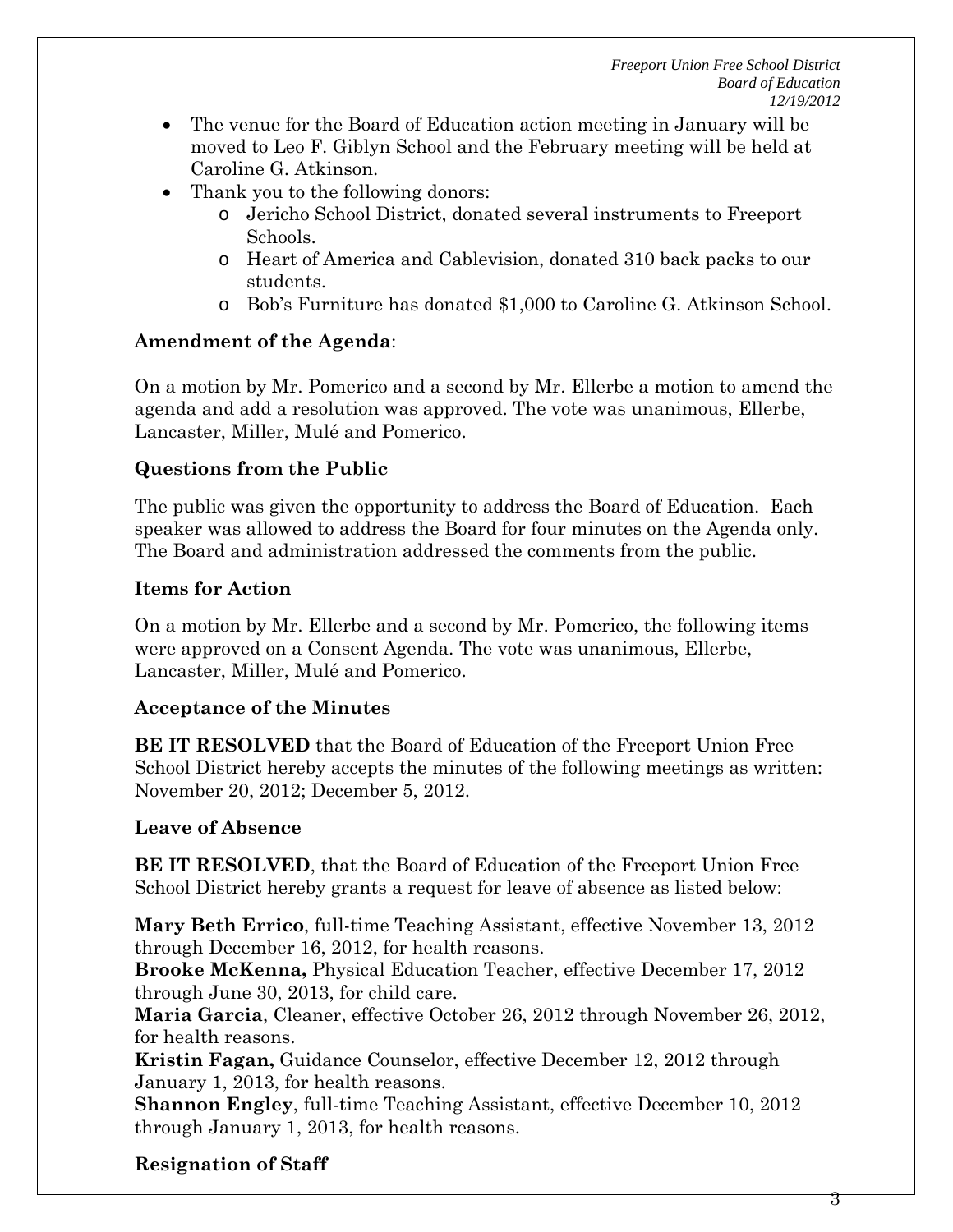- The venue for the Board of Education action meeting in January will be moved to Leo F. Giblyn School and the February meeting will be held at Caroline G. Atkinson.
- Thank you to the following donors:
	- o Jericho School District, donated several instruments to Freeport Schools.
	- o Heart of America and Cablevision, donated 310 back packs to our students.
	- o Bob's Furniture has donated \$1,000 to Caroline G. Atkinson School.

# **Amendment of the Agenda**:

On a motion by Mr. Pomerico and a second by Mr. Ellerbe a motion to amend the agenda and add a resolution was approved. The vote was unanimous, Ellerbe, Lancaster, Miller, Mulé and Pomerico.

# **Questions from the Public**

The public was given the opportunity to address the Board of Education. Each speaker was allowed to address the Board for four minutes on the Agenda only. The Board and administration addressed the comments from the public.

# **Items for Action**

On a motion by Mr. Ellerbe and a second by Mr. Pomerico, the following items were approved on a Consent Agenda. The vote was unanimous, Ellerbe, Lancaster, Miller, Mulé and Pomerico.

## **Acceptance of the Minutes**

**BE IT RESOLVED** that the Board of Education of the Freeport Union Free School District hereby accepts the minutes of the following meetings as written: November 20, 2012; December 5, 2012.

# **Leave of Absence**

**BE IT RESOLVED**, that the Board of Education of the Freeport Union Free School District hereby grants a request for leave of absence as listed below:

**Mary Beth Errico**, full-time Teaching Assistant, effective November 13, 2012 through December 16, 2012, for health reasons.

**Brooke McKenna,** Physical Education Teacher, effective December 17, 2012 through June 30, 2013, for child care.

**Maria Garcia**, Cleaner, effective October 26, 2012 through November 26, 2012, for health reasons.

**Kristin Fagan,** Guidance Counselor, effective December 12, 2012 through January 1, 2013, for health reasons.

**Shannon Engley**, full-time Teaching Assistant, effective December 10, 2012 through January 1, 2013, for health reasons.

# **Resignation of Staff**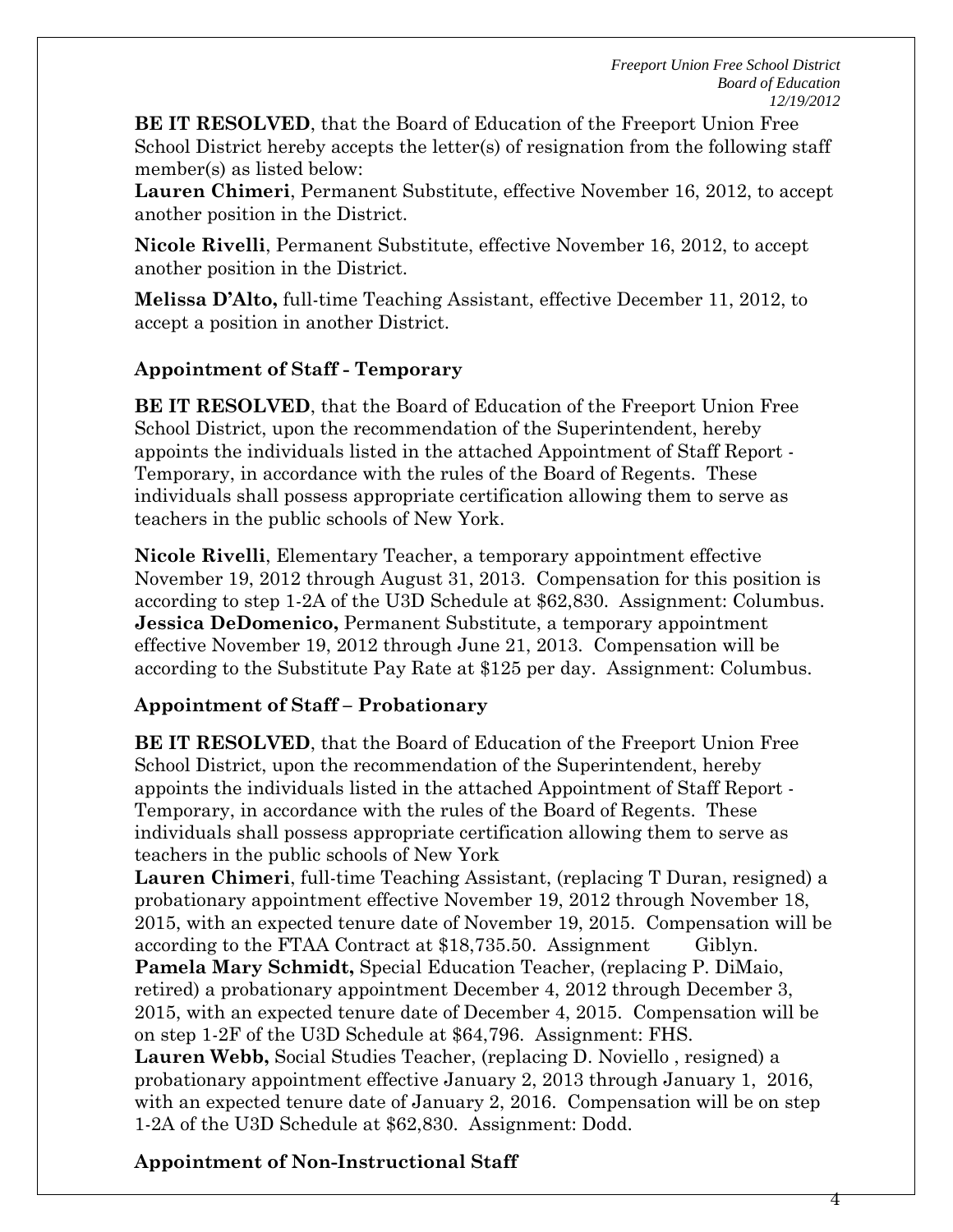4

**BE IT RESOLVED**, that the Board of Education of the Freeport Union Free School District hereby accepts the letter(s) of resignation from the following staff member(s) as listed below:

**Lauren Chimeri**, Permanent Substitute, effective November 16, 2012, to accept another position in the District.

**Nicole Rivelli**, Permanent Substitute, effective November 16, 2012, to accept another position in the District.

**Melissa D'Alto,** full-time Teaching Assistant, effective December 11, 2012, to accept a position in another District.

## **Appointment of Staff - Temporary**

**BE IT RESOLVED**, that the Board of Education of the Freeport Union Free School District, upon the recommendation of the Superintendent, hereby appoints the individuals listed in the attached Appointment of Staff Report - Temporary, in accordance with the rules of the Board of Regents. These individuals shall possess appropriate certification allowing them to serve as teachers in the public schools of New York.

**Nicole Rivelli**, Elementary Teacher, a temporary appointment effective November 19, 2012 through August 31, 2013. Compensation for this position is according to step 1-2A of the U3D Schedule at \$62,830. Assignment: Columbus. **Jessica DeDomenico,** Permanent Substitute, a temporary appointment effective November 19, 2012 through June 21, 2013. Compensation will be according to the Substitute Pay Rate at \$125 per day. Assignment: Columbus.

## **Appointment of Staff – Probationary**

**BE IT RESOLVED**, that the Board of Education of the Freeport Union Free School District, upon the recommendation of the Superintendent, hereby appoints the individuals listed in the attached Appointment of Staff Report - Temporary, in accordance with the rules of the Board of Regents. These individuals shall possess appropriate certification allowing them to serve as teachers in the public schools of New York

**Lauren Chimeri**, full-time Teaching Assistant, (replacing T Duran, resigned) a probationary appointment effective November 19, 2012 through November 18, 2015, with an expected tenure date of November 19, 2015. Compensation will be according to the FTAA Contract at \$18,735.50. Assignment Giblyn. **Pamela Mary Schmidt,** Special Education Teacher, (replacing P. DiMaio, retired) a probationary appointment December 4, 2012 through December 3, 2015, with an expected tenure date of December 4, 2015. Compensation will be on step 1-2F of the U3D Schedule at \$64,796. Assignment: FHS. **Lauren Webb,** Social Studies Teacher, (replacing D. Noviello , resigned) a probationary appointment effective January 2, 2013 through January 1, 2016, with an expected tenure date of January 2, 2016. Compensation will be on step 1-2A of the U3D Schedule at \$62,830. Assignment: Dodd.

# **Appointment of Non-Instructional Staff**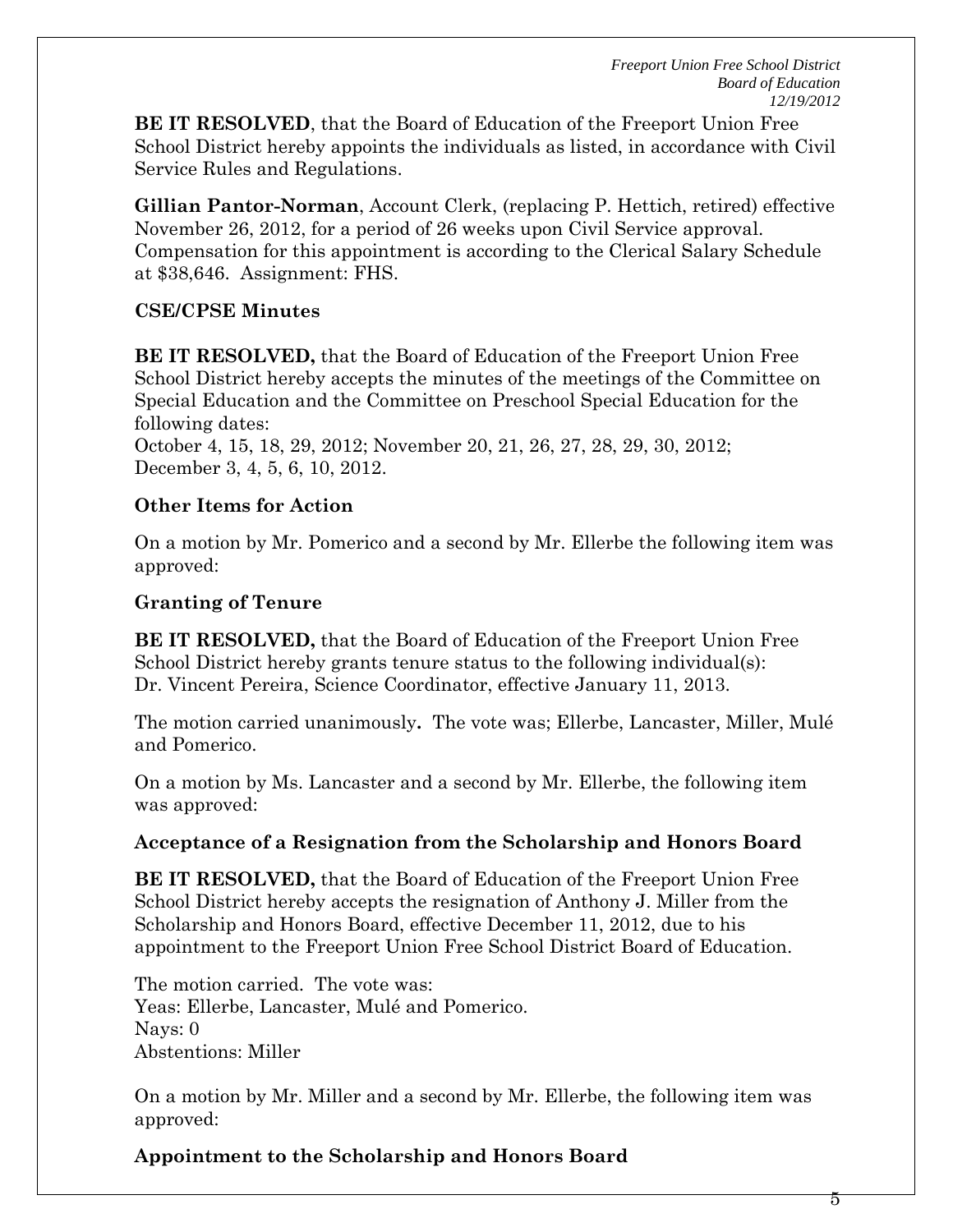**BE IT RESOLVED**, that the Board of Education of the Freeport Union Free School District hereby appoints the individuals as listed, in accordance with Civil Service Rules and Regulations.

**Gillian Pantor-Norman**, Account Clerk, (replacing P. Hettich, retired) effective November 26, 2012, for a period of 26 weeks upon Civil Service approval. Compensation for this appointment is according to the Clerical Salary Schedule at \$38,646. Assignment: FHS.

### **CSE/CPSE Minutes**

**BE IT RESOLVED,** that the Board of Education of the Freeport Union Free School District hereby accepts the minutes of the meetings of the Committee on Special Education and the Committee on Preschool Special Education for the following dates:

October 4, 15, 18, 29, 2012; November 20, 21, 26, 27, 28, 29, 30, 2012; December 3, 4, 5, 6, 10, 2012.

### **Other Items for Action**

On a motion by Mr. Pomerico and a second by Mr. Ellerbe the following item was approved:

### **Granting of Tenure**

**BE IT RESOLVED,** that the Board of Education of the Freeport Union Free School District hereby grants tenure status to the following individual(s): Dr. Vincent Pereira, Science Coordinator, effective January 11, 2013.

The motion carried unanimously**.** The vote was; Ellerbe, Lancaster, Miller, Mulé and Pomerico.

On a motion by Ms. Lancaster and a second by Mr. Ellerbe, the following item was approved:

## **Acceptance of a Resignation from the Scholarship and Honors Board**

**BE IT RESOLVED,** that the Board of Education of the Freeport Union Free School District hereby accepts the resignation of Anthony J. Miller from the Scholarship and Honors Board, effective December 11, 2012, due to his appointment to the Freeport Union Free School District Board of Education.

The motion carried. The vote was: Yeas: Ellerbe, Lancaster, Mulé and Pomerico. Nays: 0 Abstentions: Miller

On a motion by Mr. Miller and a second by Mr. Ellerbe, the following item was approved:

**Appointment to the Scholarship and Honors Board**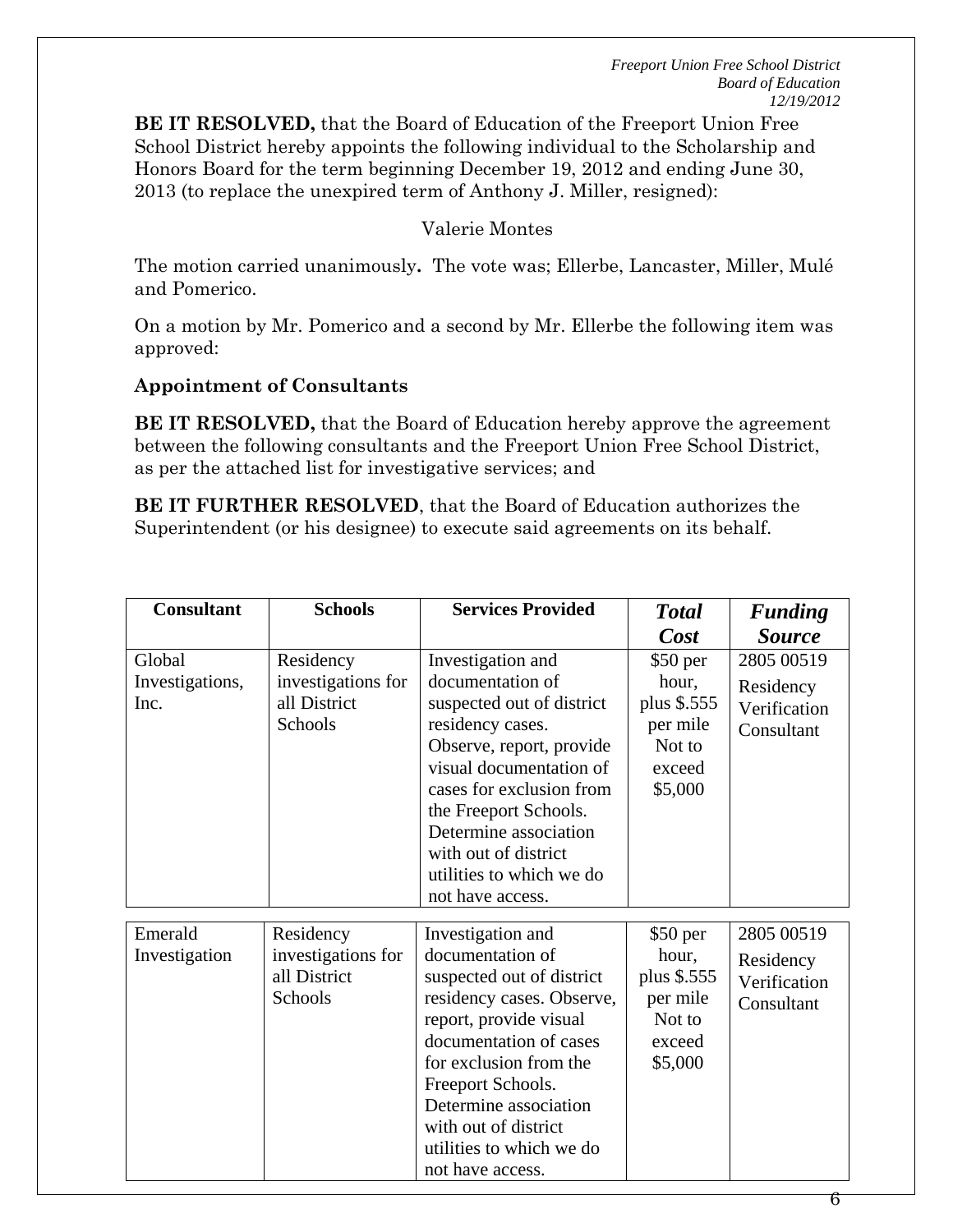**BE IT RESOLVED,** that the Board of Education of the Freeport Union Free School District hereby appoints the following individual to the Scholarship and Honors Board for the term beginning December 19, 2012 and ending June 30, 2013 (to replace the unexpired term of Anthony J. Miller, resigned):

### Valerie Montes

The motion carried unanimously**.** The vote was; Ellerbe, Lancaster, Miller, Mulé and Pomerico.

On a motion by Mr. Pomerico and a second by Mr. Ellerbe the following item was approved:

#### **Appointment of Consultants**

**BE IT RESOLVED,** that the Board of Education hereby approve the agreement between the following consultants and the Freeport Union Free School District, as per the attached list for investigative services; and

**BE IT FURTHER RESOLVED**, that the Board of Education authorizes the Superintendent (or his designee) to execute said agreements on its behalf.

| <b>Consultant</b>                 | <b>Schools</b>                                             | <b>Services Provided</b>                                                                                                                                                                                                                                                                            | <b>Total</b>                                                                 | <b>Funding</b>                                        |
|-----------------------------------|------------------------------------------------------------|-----------------------------------------------------------------------------------------------------------------------------------------------------------------------------------------------------------------------------------------------------------------------------------------------------|------------------------------------------------------------------------------|-------------------------------------------------------|
|                                   |                                                            |                                                                                                                                                                                                                                                                                                     | Cost                                                                         | <b>Source</b>                                         |
| Global<br>Investigations,<br>Inc. | Residency<br>investigations for<br>all District<br>Schools | Investigation and<br>documentation of<br>suspected out of district<br>residency cases.<br>Observe, report, provide<br>visual documentation of<br>cases for exclusion from<br>the Freeport Schools.<br>Determine association<br>with out of district<br>utilities to which we do<br>not have access. | \$50 per<br>hour,<br>plus \$.555<br>per mile<br>Not to<br>exceed<br>\$5,000  | 2805 00519<br>Residency<br>Verification<br>Consultant |
| Emerald<br>Investigation          | Residency<br>investigations for<br>all District<br>Schools | Investigation and<br>documentation of<br>suspected out of district<br>residency cases. Observe,<br>report, provide visual<br>documentation of cases<br>for exclusion from the<br>Freeport Schools.<br>Determine association<br>with out of district<br>utilities to which we do<br>not have access. | $$50$ per<br>hour,<br>plus \$.555<br>per mile<br>Not to<br>exceed<br>\$5,000 | 2805 00519<br>Residency<br>Verification<br>Consultant |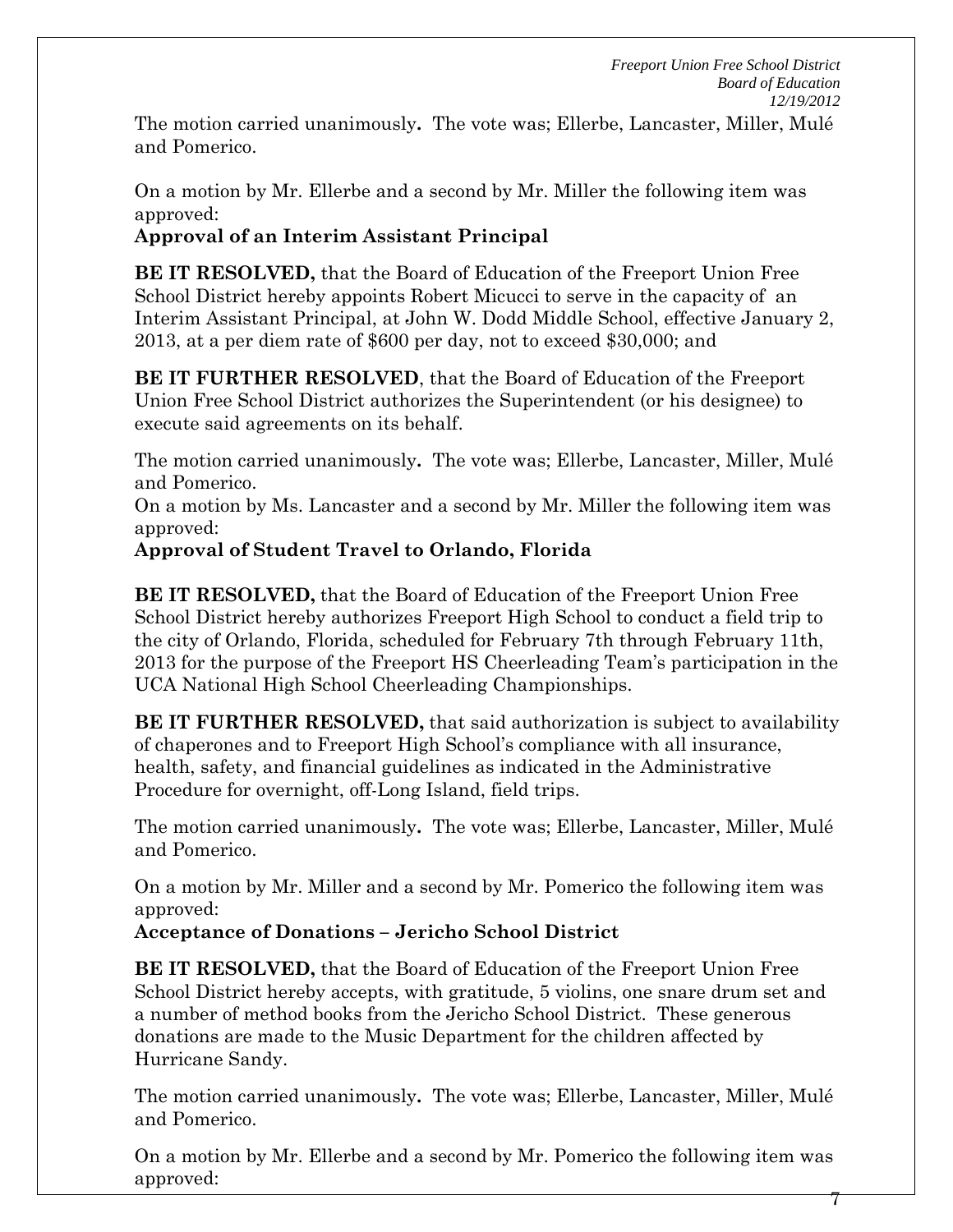7

The motion carried unanimously**.** The vote was; Ellerbe, Lancaster, Miller, Mulé and Pomerico.

On a motion by Mr. Ellerbe and a second by Mr. Miller the following item was approved:

# **Approval of an Interim Assistant Principal**

**BE IT RESOLVED,** that the Board of Education of the Freeport Union Free School District hereby appoints Robert Micucci to serve in the capacity of an Interim Assistant Principal, at John W. Dodd Middle School, effective January 2, 2013, at a per diem rate of \$600 per day, not to exceed \$30,000; and

**BE IT FURTHER RESOLVED**, that the Board of Education of the Freeport Union Free School District authorizes the Superintendent (or his designee) to execute said agreements on its behalf.

The motion carried unanimously**.** The vote was; Ellerbe, Lancaster, Miller, Mulé and Pomerico.

On a motion by Ms. Lancaster and a second by Mr. Miller the following item was approved:

## **Approval of Student Travel to Orlando, Florida**

**BE IT RESOLVED,** that the Board of Education of the Freeport Union Free School District hereby authorizes Freeport High School to conduct a field trip to the city of Orlando, Florida, scheduled for February 7th through February 11th, 2013 for the purpose of the Freeport HS Cheerleading Team's participation in the UCA National High School Cheerleading Championships.

**BE IT FURTHER RESOLVED,** that said authorization is subject to availability of chaperones and to Freeport High School's compliance with all insurance, health, safety, and financial guidelines as indicated in the Administrative Procedure for overnight, off-Long Island, field trips.

The motion carried unanimously**.** The vote was; Ellerbe, Lancaster, Miller, Mulé and Pomerico.

On a motion by Mr. Miller and a second by Mr. Pomerico the following item was approved:

## **Acceptance of Donations – Jericho School District**

**BE IT RESOLVED,** that the Board of Education of the Freeport Union Free School District hereby accepts, with gratitude, 5 violins, one snare drum set and a number of method books from the Jericho School District. These generous donations are made to the Music Department for the children affected by Hurricane Sandy.

The motion carried unanimously**.** The vote was; Ellerbe, Lancaster, Miller, Mulé and Pomerico.

On a motion by Mr. Ellerbe and a second by Mr. Pomerico the following item was approved: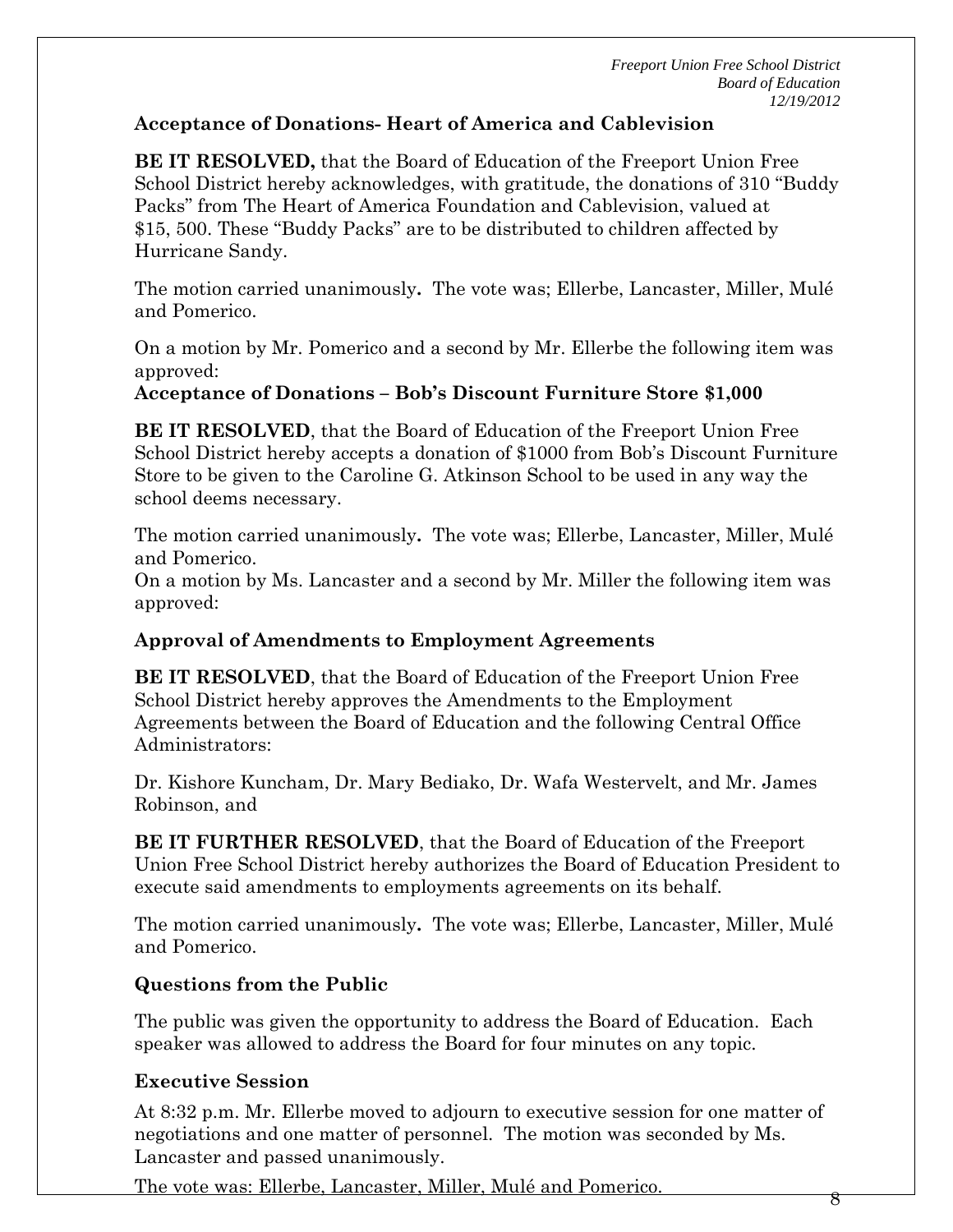## **Acceptance of Donations- Heart of America and Cablevision**

**BE IT RESOLVED,** that the Board of Education of the Freeport Union Free School District hereby acknowledges, with gratitude, the donations of 310 "Buddy Packs" from The Heart of America Foundation and Cablevision, valued at \$15, 500. These "Buddy Packs" are to be distributed to children affected by Hurricane Sandy.

The motion carried unanimously**.** The vote was; Ellerbe, Lancaster, Miller, Mulé and Pomerico.

On a motion by Mr. Pomerico and a second by Mr. Ellerbe the following item was approved:

## **Acceptance of Donations – Bob's Discount Furniture Store \$1,000**

**BE IT RESOLVED**, that the Board of Education of the Freeport Union Free School District hereby accepts a donation of \$1000 from Bob's Discount Furniture Store to be given to the Caroline G. Atkinson School to be used in any way the school deems necessary.

The motion carried unanimously**.** The vote was; Ellerbe, Lancaster, Miller, Mulé and Pomerico.

On a motion by Ms. Lancaster and a second by Mr. Miller the following item was approved:

## **Approval of Amendments to Employment Agreements**

**BE IT RESOLVED**, that the Board of Education of the Freeport Union Free School District hereby approves the Amendments to the Employment Agreements between the Board of Education and the following Central Office Administrators:

Dr. Kishore Kuncham, Dr. Mary Bediako, Dr. Wafa Westervelt, and Mr. James Robinson, and

**BE IT FURTHER RESOLVED**, that the Board of Education of the Freeport Union Free School District hereby authorizes the Board of Education President to execute said amendments to employments agreements on its behalf.

The motion carried unanimously**.** The vote was; Ellerbe, Lancaster, Miller, Mulé and Pomerico.

## **Questions from the Public**

The public was given the opportunity to address the Board of Education. Each speaker was allowed to address the Board for four minutes on any topic.

## **Executive Session**

At 8:32 p.m. Mr. Ellerbe moved to adjourn to executive session for one matter of negotiations and one matter of personnel. The motion was seconded by Ms. Lancaster and passed unanimously.

The vote was: Ellerbe, Lancaster, Miller, Mulé and Pomerico.